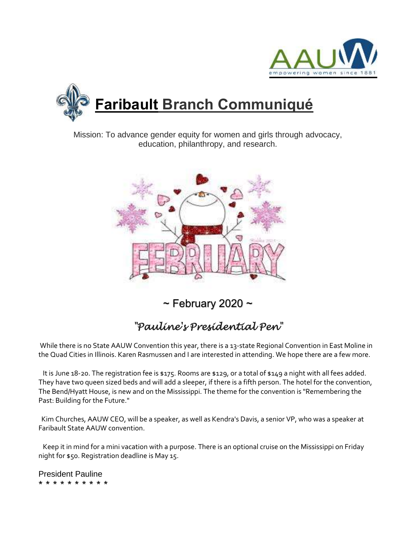



Mission: To advance gender equity for women and girls through advocacy, education, philanthropy, and research.



 $\sim$  February 2020  $\sim$ 

# *"Pauline's Presidential Pen"*

While there is no State AAUW Convention this year, there is a 13-state Regional Convention in East Moline in the Quad Cities in Illinois. Karen Rasmussen and I are interested in attending. We hope there are a few more.

 It is June 18-20. The registration fee is \$175. Rooms are \$129, or a total of \$149 a night with all fees added. They have two queen sized beds and will add a sleeper, if there is a fifth person. The hotel for the convention, The Bend/Hyatt House, is new and on the Mississippi. The theme for the convention is "Remembering the Past: Building for the Future."

 Kim Churches, AAUW CEO, will be a speaker, as well as Kendra's Davis, a senior VP, who was a speaker at Faribault State AAUW convention.

 Keep it in mind for a mini vacation with a purpose. There is an optional cruise on the Mississippi on Friday night for \$50. Registration deadline is May 15.

President Pauline \* \* \* \* \* \* \* \* \* \*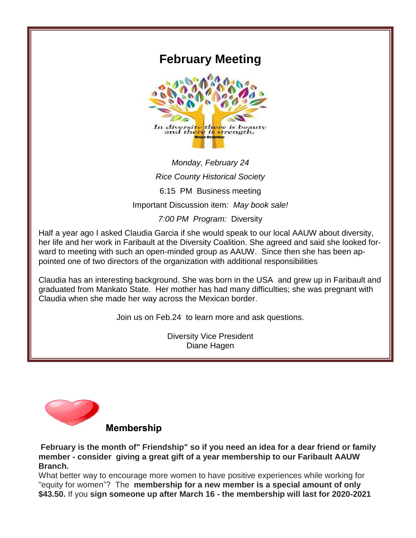## **February Meeting**



# *Monday, February 24 Rice County Historical Society* 6:15 PM Business meeting Important Discussion item*: May book sale!*

*7:00 PM Program:* Diversity

Half a year ago I asked Claudia Garcia if she would speak to our local AAUW about diversity, her life and her work in Faribault at the Diversity Coalition. She agreed and said she looked forward to meeting with such an open-minded group as AAUW. Since then she has been appointed one of two directors of the organization with additional responsibilities

Claudia has an interesting background. She was born in the USA and grew up in Faribault and graduated from Mankato State. Her mother has had many difficulties; she was pregnant with Claudia when she made her way across the Mexican border.

Join us on Feb.24 to learn more and ask questions.

Diversity Vice President Diane Hagen



**Membership** 

**February is the month of" Friendship" so if you need an idea for a dear friend or family Thereally to the monthly constructing the agreement of a year included the monthly consider giving a great gift of a year membership to our Faribault AAUW Branch.**

What better way to encourage more women to have positive experiences while working for "equity for women"? The **membership for a new member is a special amount of only \$43.50.** If you **sign someone up after March 16 - the membership will last for 2020-2021**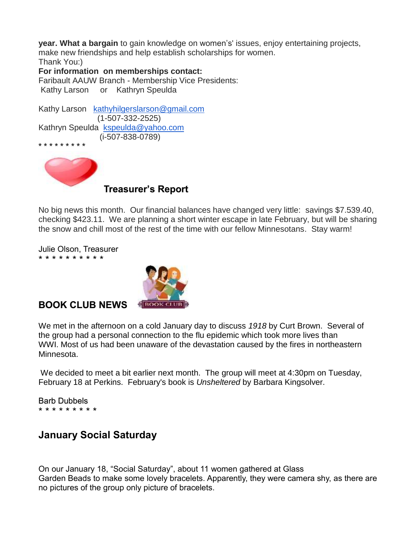**year. What a bargain** to gain knowledge on women's' issues, enjoy entertaining projects, make new friendships and help establish scholarships for women. Thank You:)

**For information on memberships contact:**

Faribault AAUW Branch - Membership Vice Presidents: Kathy Larson or Kathryn Speulda

Kathy Larson [kathyhilgerslarson@gmail.com](mailto:kathyhilgerslarson@gmail.com) (1-507-332-2525) Kathryn Speulda [kspeulda@yahoo.com](mailto:kspeulda@yahoo.com) (i-507-838-0789) \* \* \* \* \* \* \* \* \*



**Treasurer's Report**

No big news this month. Our financial balances have changed very little: savings \$7.539.40, checking \$423.11. We are planning a short winter escape in late February, but will be sharing the snow and chill most of the rest of the time with our fellow Minnesotans. Stay warm!

Julie Olson, Treasurer \* \* \* \* \* \* \* \* \* \*



**BOOK CLUB NEWS** 

We met in the afternoon on a cold January day to discuss *1918* by Curt Brown. Several of the group had a personal connection to the flu epidemic which took more lives than WWI. Most of us had been unaware of the devastation caused by the fires in northeastern Minnesota.

We decided to meet a bit earlier next month. The group will meet at 4:30pm on Tuesday, February 18 at Perkins. February's book is *Unsheltered* by Barbara Kingsolver.

Barb Dubbels \* \* \* \* \* \* \* \* \*

### **January Social Saturday**

On our January 18, "Social Saturday", about 11 women gathered at Glass Garden Beads to make some lovely bracelets. Apparently, they were camera shy, as there are no pictures of the group only picture of bracelets.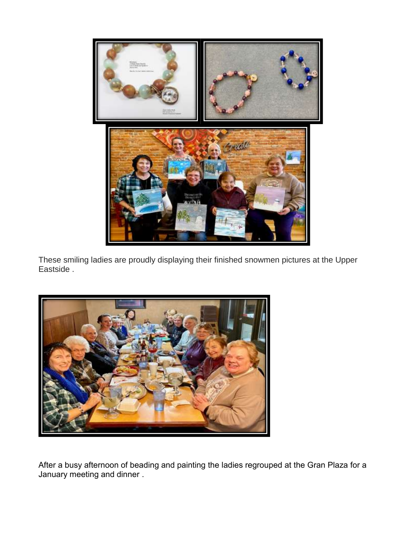

These smiling ladies are proudly displaying their finished snowmen pictures at the Upper Eastside .



After a busy afternoon of beading and painting the ladies regrouped at the Gran Plaza for a January meeting and dinner .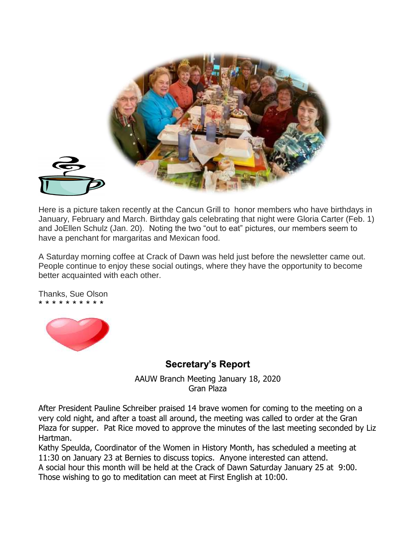

Here is a picture taken recently at the Cancun Grill to honor members who have birthdays in January, February and March. Birthday gals celebrating that night were Gloria Carter (Feb. 1) and JoEllen Schulz (Jan. 20). Noting the two "out to eat" pictures, our members seem to have a penchant for margaritas and Mexican food.

A Saturday morning coffee at Crack of Dawn was held just before the newsletter came out. People continue to enjoy these social outings, where they have the opportunity to become better acquainted with each other.

Thanks, Sue Olson \* \* \* \* \* \* \* \* \* \*



#### **Secretary's Report**

AAUW Branch Meeting January 18, 2020 Gran Plaza

After President Pauline Schreiber praised 14 brave women for coming to the meeting on a very cold night, and after a toast all around, the meeting was called to order at the Gran Plaza for supper. Pat Rice moved to approve the minutes of the last meeting seconded by Liz Hartman.

Kathy Speulda, Coordinator of the Women in History Month, has scheduled a meeting at 11:30 on January 23 at Bernies to discuss topics. Anyone interested can attend. A social hour this month will be held at the Crack of Dawn Saturday January 25 at 9:00. Those wishing to go to meditation can meet at First English at 10:00.